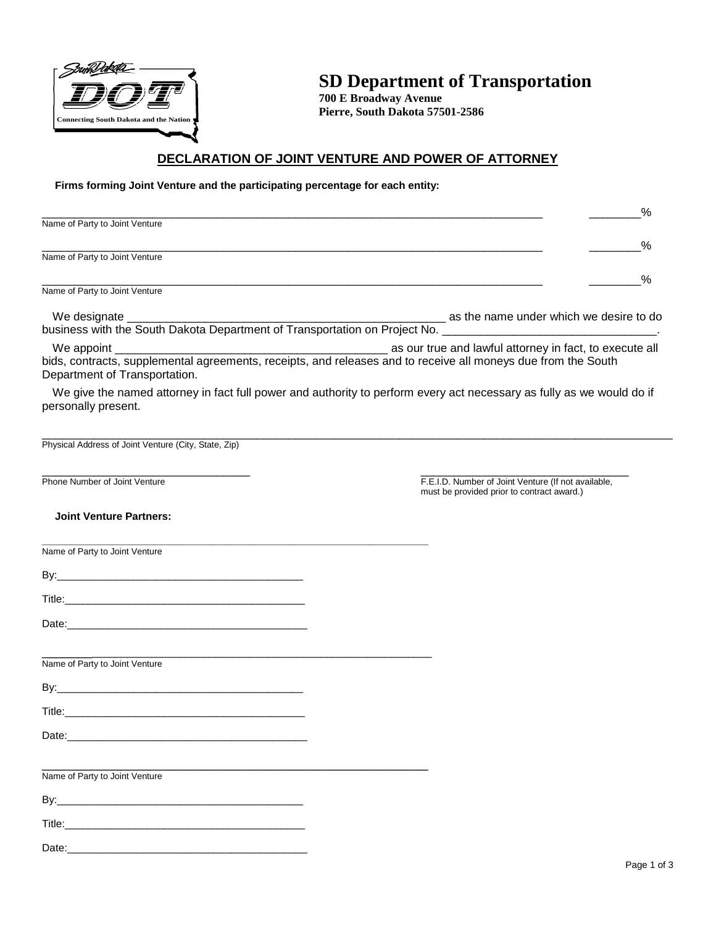

# **SD Department of Transportation**

**700 E Broadway Avenue Pierre, South Dakota 57501-2586** 

# **DECLARATION OF JOINT VENTURE AND POWER OF ATTORNEY**

#### **Firms forming Joint Venture and the participating percentage for each entity:**

|                                                                            |                                         |  |  | $\frac{0}{6}$ |
|----------------------------------------------------------------------------|-----------------------------------------|--|--|---------------|
| Name of Party to Joint Venture                                             |                                         |  |  |               |
|                                                                            |                                         |  |  |               |
| Name of Party to Joint Venture                                             |                                         |  |  |               |
|                                                                            |                                         |  |  |               |
| Name of Party to Joint Venture                                             |                                         |  |  |               |
|                                                                            | as the name under which we desire to do |  |  |               |
| business with the South Dakota Department of Transportation on Project No. |                                         |  |  |               |
|                                                                            |                                         |  |  |               |

We appoint \_\_\_\_\_\_\_\_\_\_\_\_\_\_\_\_\_\_\_\_\_\_\_\_\_\_\_\_\_\_\_\_\_\_\_\_\_\_\_\_\_\_ as our true and lawful attorney in fact, to execute all bids, contracts, supplemental agreements, receipts, and releases and to receive all moneys due from the South Department of Transportation.

We give the named attorney in fact full power and authority to perform every act necessary as fully as we would do if personally present.

 $\_$  ,  $\_$  ,  $\_$  ,  $\_$  ,  $\_$  ,  $\_$  ,  $\_$  ,  $\_$  ,  $\_$  ,  $\_$  ,  $\_$  ,  $\_$  ,  $\_$  ,  $\_$  ,  $\_$  ,  $\_$  ,  $\_$  ,  $\_$  ,  $\_$  ,  $\_$  ,  $\_$  ,  $\_$  ,  $\_$  ,  $\_$  ,  $\_$  ,  $\_$  ,  $\_$  ,  $\_$  ,  $\_$  ,  $\_$  ,  $\_$  ,  $\_$  ,  $\_$  ,  $\_$  ,  $\_$  ,  $\_$  ,  $\_$  , Physical Address of Joint Venture (City, State, Zip)

\_\_\_\_\_\_\_\_\_\_\_\_\_\_\_\_\_\_\_\_\_\_\_\_\_\_\_\_\_\_\_\_ \_\_\_\_\_\_\_\_\_\_\_\_\_\_\_\_\_\_\_\_\_\_\_\_\_\_\_\_\_\_\_\_ Phone Number of Joint Venture **F.E.I.D.** Number of Joint Venture (If not available, must be provided prior to contract award.)

#### **Joint Venture Partners:**

| Name of Party to Joint Venture |  |
|--------------------------------|--|
|                                |  |
|                                |  |
|                                |  |
|                                |  |
| Name of Party to Joint Venture |  |
|                                |  |
|                                |  |
|                                |  |
|                                |  |
| Name of Party to Joint Venture |  |
|                                |  |
|                                |  |
|                                |  |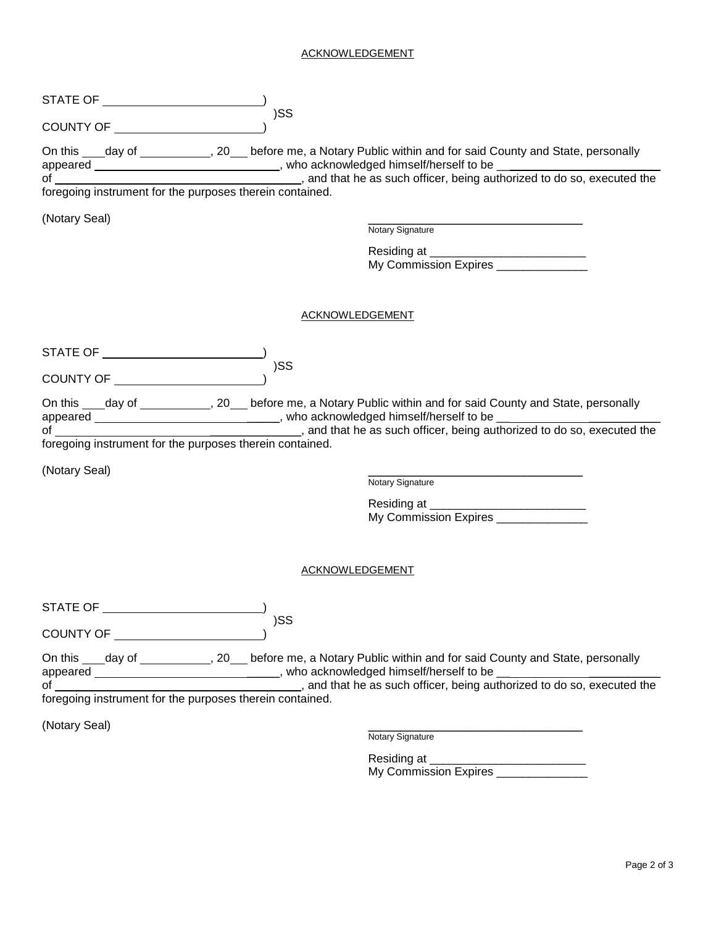### ACKNOWLEDGEMENT

|                                                          | )SS                                                                                                                                                                                                                                                                                                                                                   |
|----------------------------------------------------------|-------------------------------------------------------------------------------------------------------------------------------------------------------------------------------------------------------------------------------------------------------------------------------------------------------------------------------------------------------|
|                                                          | On this ____day of _____________, 20___ before me, a Notary Public within and for said County and State, personally<br>appeared ___________________________________, who acknowledged himself/herself to be _________________________                                                                                                                 |
|                                                          |                                                                                                                                                                                                                                                                                                                                                       |
| (Notary Seal)                                            | Notary Signature                                                                                                                                                                                                                                                                                                                                      |
|                                                          | My Commission Expires                                                                                                                                                                                                                                                                                                                                 |
|                                                          | <b>ACKNOWLEDGEMENT</b>                                                                                                                                                                                                                                                                                                                                |
| STATE OF ________________________                        | )SS                                                                                                                                                                                                                                                                                                                                                   |
| foregoing instrument for the purposes therein contained. | On this ____day of _____________, 20____before me, a Notary Public within and for said County and State, personally                                                                                                                                                                                                                                   |
| (Notary Seal)                                            |                                                                                                                                                                                                                                                                                                                                                       |
|                                                          | Notary Signature                                                                                                                                                                                                                                                                                                                                      |
|                                                          | My Commission Expires                                                                                                                                                                                                                                                                                                                                 |
|                                                          | ACKNOWLEDGEMENT                                                                                                                                                                                                                                                                                                                                       |
| STATE OF                                                 |                                                                                                                                                                                                                                                                                                                                                       |
|                                                          | )SS                                                                                                                                                                                                                                                                                                                                                   |
|                                                          | On this ____day of _____________, 20___ before me, a Notary Public within and for said County and State, personally<br>appeared ____________________________, who acknowledged himself/herself to be ____________________, and that he as such officer, being authorized to do so, executed the foregoing instrument for the purposes therein contain |
|                                                          |                                                                                                                                                                                                                                                                                                                                                       |
| (Notary Seal)                                            | Notary Signature                                                                                                                                                                                                                                                                                                                                      |
|                                                          | My Commission Expires _______________                                                                                                                                                                                                                                                                                                                 |